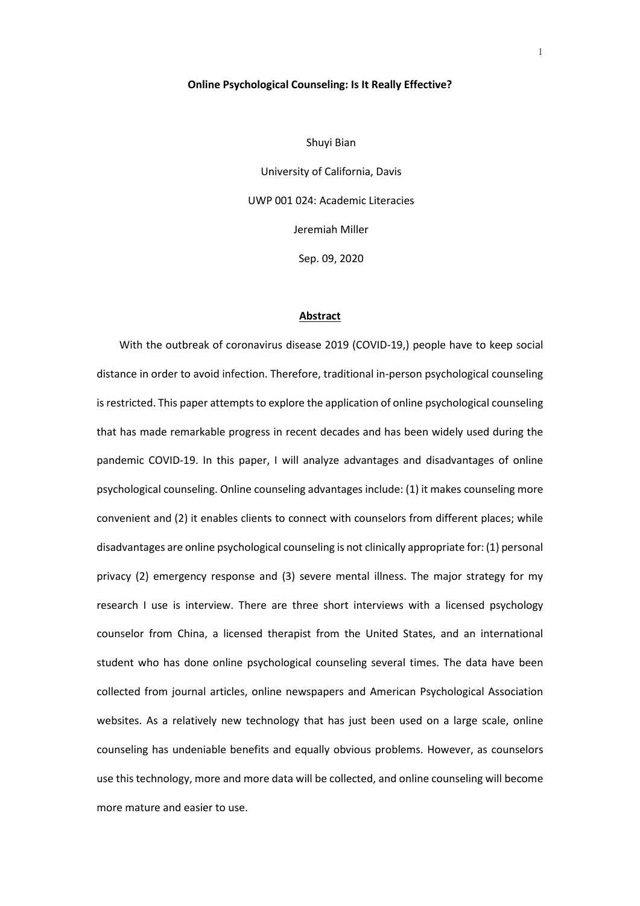## **Online Psychological Counseling: Is It Really Effective?**

Shuyi Bian University of California, Davis UWP 001 024: Academic Literacies Jeremiah Miller Sep. 09, 2020

#### **Abstract**

With the outbreak of coronavirus disease 2019 (COVID-19,) people have to keep social distance in order to avoid infection. Therefore, traditional in-person psychological counseling is restricted. This paper attempts to explore the application of online psychological counseling that has made remarkable progress in recent decades and has been widely used during the pandemic COVID-19. In this paper, I will analyze advantages and disadvantages of online psychological counseling. Online counseling advantages include: (1) it makes counseling more convenient and (2) it enables clients to connect with counselors from different places; while disadvantages are online psychological counseling is not clinically appropriate for: (1) personal privacy (2) emergency response and (3) severe mental illness. The major strategy for my research I use is interview. There are three short interviews with a licensed psychology counselor from China, a licensed therapist from the United States, and an international student who has done online psychological counseling several times. The data have been collected from journal articles, online newspapers and American Psychological Association websites. As a relatively new technology that has just been used on a large scale, online counseling has undeniable benefits and equally obvious problems. However, as counselors use this technology, more and more data will be collected, and online counseling will become more mature and easier to use.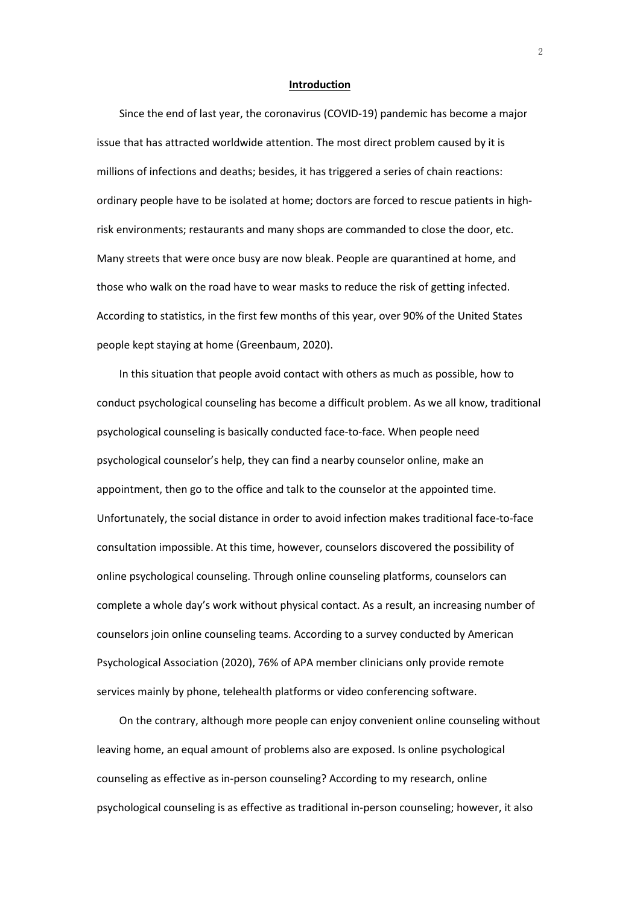### **Introduction**

Since the end of last year, the coronavirus (COVID-19) pandemic has become a major issue that has attracted worldwide attention. The most direct problem caused by it is millions of infections and deaths; besides, it has triggered a series of chain reactions: ordinary people have to be isolated at home; doctors are forced to rescue patients in highrisk environments; restaurants and many shops are commanded to close the door, etc. Many streets that were once busy are now bleak. People are quarantined at home, and those who walk on the road have to wear masks to reduce the risk of getting infected. According to statistics, in the first few months of this year, over 90% of the United States people kept staying at home (Greenbaum, 2020).

In this situation that people avoid contact with others as much as possible, how to conduct psychological counseling has become a difficult problem. As we all know, traditional psychological counseling is basically conducted face-to-face. When people need psychological counselor's help, they can find a nearby counselor online, make an appointment, then go to the office and talk to the counselor at the appointed time. Unfortunately, the social distance in order to avoid infection makes traditional face-to-face consultation impossible. At this time, however, counselors discovered the possibility of online psychological counseling. Through online counseling platforms, counselors can complete a whole day's work without physical contact. As a result, an increasing number of counselors join online counseling teams. According to a survey conducted by American Psychological Association (2020), 76% of APA member clinicians only provide remote services mainly by phone, telehealth platforms or video conferencing software.

On the contrary, although more people can enjoy convenient online counseling without leaving home, an equal amount of problems also are exposed. Is online psychological counseling as effective as in-person counseling? According to my research, online psychological counseling is as effective as traditional in-person counseling; however, it also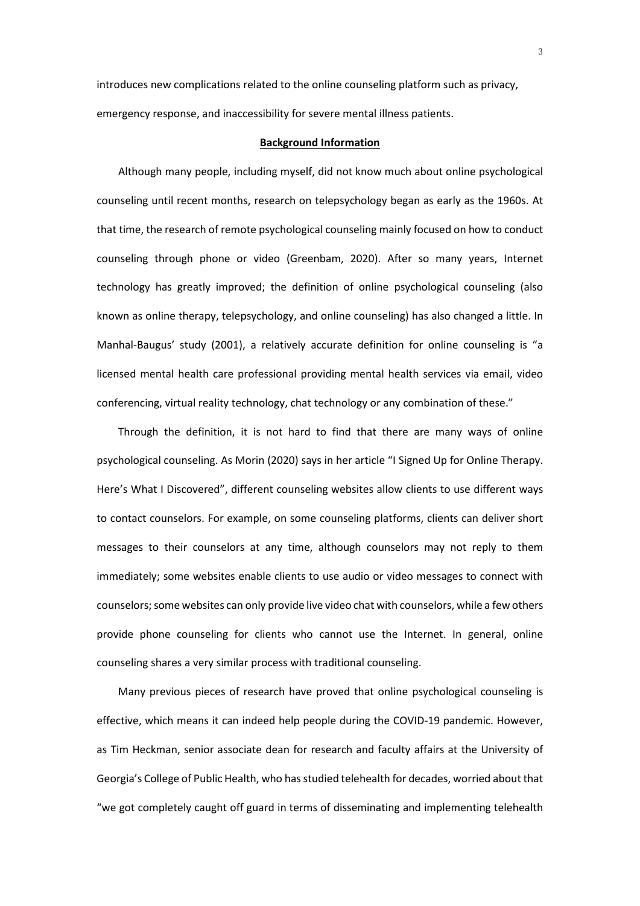introduces new complications related to the online counseling platform such as privacy, emergency response, and inaccessibility for severe mental illness patients.

## **Background Information**

 Although many people, including myself, did not know much about online psychological counseling until recent months, research on telepsychology began as early as the 1960s. At that time, the research of remote psychological counseling mainly focused on how to conduct counseling through phone or video (Greenbam, 2020). After so many years, Internet technology has greatly improved; the definition of online psychological counseling (also known as online therapy, telepsychology, and online counseling) has also changed a little. In Manhal-Baugus' study (2001), a relatively accurate definition for online counseling is "a licensed mental health care professional providing mental health services via email, video conferencing, virtual reality technology, chat technology or any combination of these."

 Through the definition, it is not hard to find that there are many ways of online psychological counseling. As Morin (2020) says in her article "I Signed Up for Online Therapy. Here's What I Discovered", different counseling websites allow clients to use different ways to contact counselors. For example, on some counseling platforms, clients can deliver short messages to their counselors at any time, although counselors may not reply to them immediately; some websites enable clients to use audio or video messages to connect with counselors; some websites can only provide live video chat with counselors, while a few others provide phone counseling for clients who cannot use the Internet. In general, online counseling shares a very similar process with traditional counseling.

 Many previous pieces of research have proved that online psychological counseling is effective, which means it can indeed help people during the COVID-19 pandemic. However, as Tim Heckman, senior associate dean for research and faculty affairs at the University of Georgia's College of Public Health, who has studied telehealth for decades, worried about that "we got completely caught off guard in terms of disseminating and implementing telehealth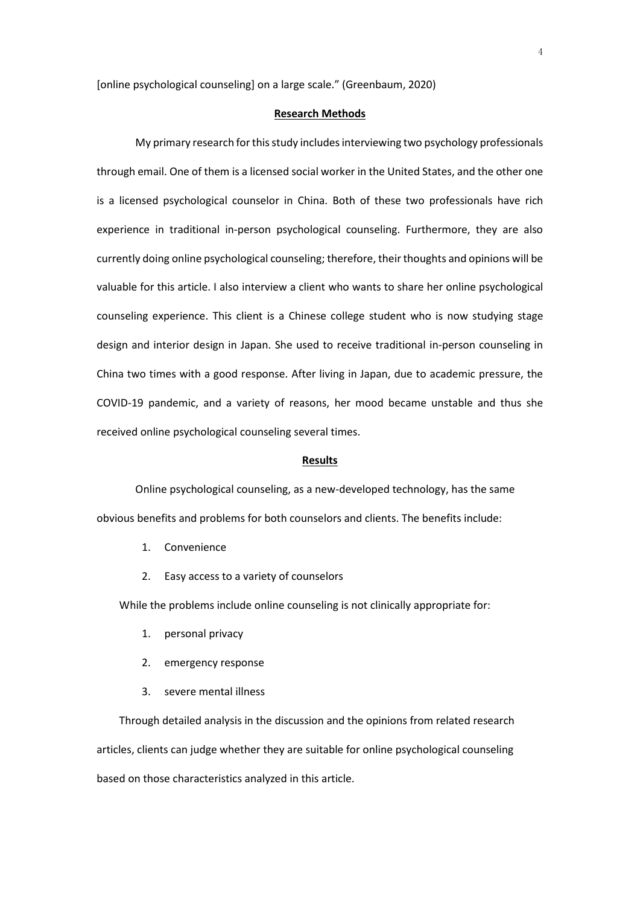[online psychological counseling] on a large scale." (Greenbaum, 2020)

# **Research Methods**

My primary research for this study includes interviewing two psychology professionals through email. One of them is a licensed social worker in the United States, and the other one is a licensed psychological counselor in China. Both of these two professionals have rich experience in traditional in-person psychological counseling. Furthermore, they are also currently doing online psychological counseling; therefore, their thoughts and opinions will be valuable for this article. I also interview a client who wants to share her online psychological counseling experience. This client is a Chinese college student who is now studying stage design and interior design in Japan. She used to receive traditional in-person counseling in China two times with a good response. After living in Japan, due to academic pressure, the COVID-19 pandemic, and a variety of reasons, her mood became unstable and thus she received online psychological counseling several times.

## **Results**

Online psychological counseling, as a new-developed technology, has the same obvious benefits and problems for both counselors and clients. The benefits include:

- 1. Convenience
- 2. Easy access to a variety of counselors

While the problems include online counseling is not clinically appropriate for:

- 1. personal privacy
- 2. emergency response
- 3. severe mental illness

Through detailed analysis in the discussion and the opinions from related research articles, clients can judge whether they are suitable for online psychological counseling based on those characteristics analyzed in this article.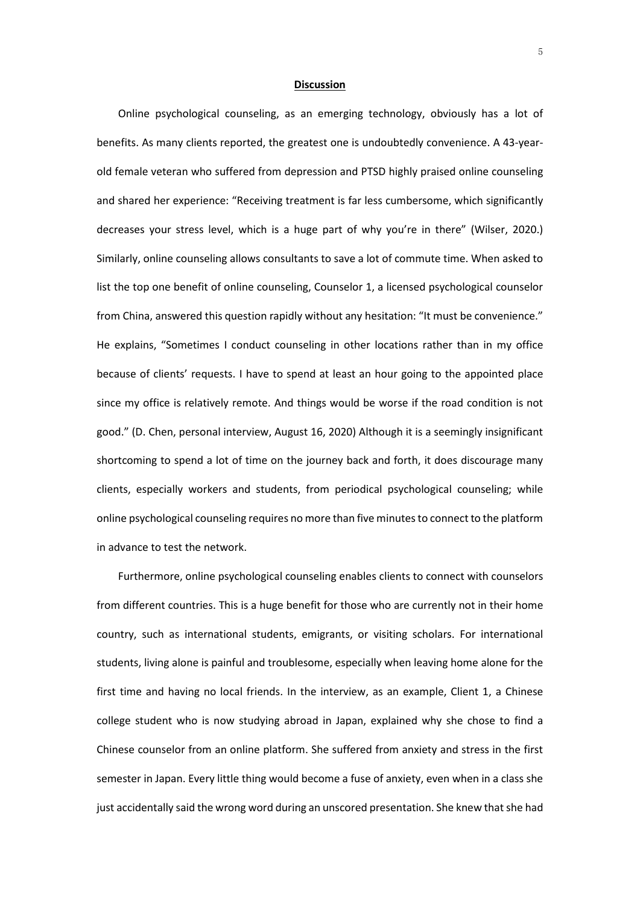### **Discussion**

 Online psychological counseling, as an emerging technology, obviously has a lot of benefits. As many clients reported, the greatest one is undoubtedly convenience. A 43-yearold female veteran who suffered from depression and PTSD highly praised online counseling and shared her experience: "Receiving treatment is far less cumbersome, which significantly decreases your stress level, which is a huge part of why you're in there" (Wilser, 2020.) Similarly, online counseling allows consultants to save a lot of commute time. When asked to list the top one benefit of online counseling, Counselor 1, a licensed psychological counselor from China, answered this question rapidly without any hesitation: "It must be convenience." He explains, "Sometimes I conduct counseling in other locations rather than in my office because of clients' requests. I have to spend at least an hour going to the appointed place since my office is relatively remote. And things would be worse if the road condition is not good." (D. Chen, personal interview, August 16, 2020) Although it is a seemingly insignificant shortcoming to spend a lot of time on the journey back and forth, it does discourage many clients, especially workers and students, from periodical psychological counseling; while online psychological counseling requires no more than five minutes to connect to the platform in advance to test the network.

 Furthermore, online psychological counseling enables clients to connect with counselors from different countries. This is a huge benefit for those who are currently not in their home country, such as international students, emigrants, or visiting scholars. For international students, living alone is painful and troublesome, especially when leaving home alone for the first time and having no local friends. In the interview, as an example, Client 1, a Chinese college student who is now studying abroad in Japan, explained why she chose to find a Chinese counselor from an online platform. She suffered from anxiety and stress in the first semester in Japan. Every little thing would become a fuse of anxiety, even when in a class she just accidentally said the wrong word during an unscored presentation. She knew that she had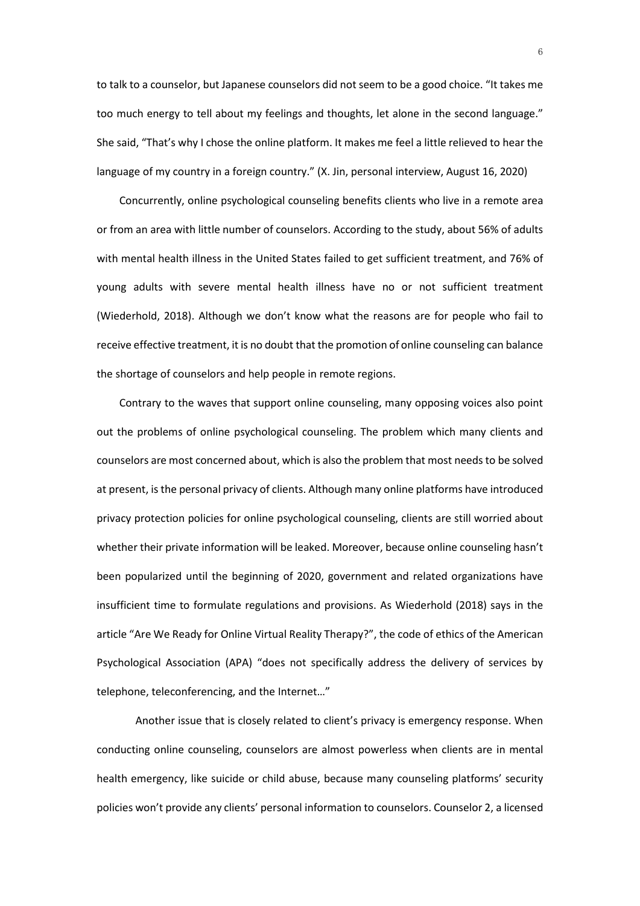to talk to a counselor, but Japanese counselors did not seem to be a good choice. "It takes me too much energy to tell about my feelings and thoughts, let alone in the second language." She said, "That's why I chose the online platform. It makes me feel a little relieved to hear the language of my country in a foreign country." (X. Jin, personal interview, August 16, 2020)

Concurrently, online psychological counseling benefits clients who live in a remote area or from an area with little number of counselors. According to the study, about 56% of adults with mental health illness in the United States failed to get sufficient treatment, and 76% of young adults with severe mental health illness have no or not sufficient treatment (Wiederhold, 2018). Although we don't know what the reasons are for people who fail to receive effective treatment, it is no doubt that the promotion of online counseling can balance the shortage of counselors and help people in remote regions.

Contrary to the waves that support online counseling, many opposing voices also point out the problems of online psychological counseling. The problem which many clients and counselors are most concerned about, which is also the problem that most needs to be solved at present, is the personal privacy of clients. Although many online platforms have introduced privacy protection policies for online psychological counseling, clients are still worried about whether their private information will be leaked. Moreover, because online counseling hasn't been popularized until the beginning of 2020, government and related organizations have insufficient time to formulate regulations and provisions. As Wiederhold (2018) says in the article "Are We Ready for Online Virtual Reality Therapy?", the code of ethics of the American Psychological Association (APA) "does not specifically address the delivery of services by telephone, teleconferencing, and the Internet…"

Another issue that is closely related to client's privacy is emergency response. When conducting online counseling, counselors are almost powerless when clients are in mental health emergency, like suicide or child abuse, because many counseling platforms' security policies won't provide any clients' personal information to counselors. Counselor 2, a licensed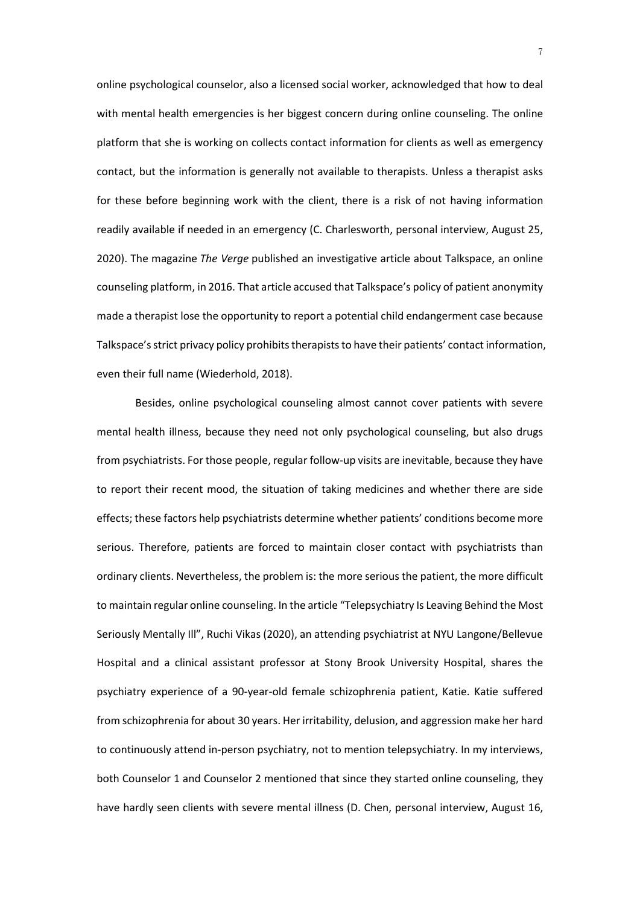online psychological counselor, also a licensed social worker, acknowledged that how to deal with mental health emergencies is her biggest concern during online counseling. The online platform that she is working on collects contact information for clients as well as emergency contact, but the information is generally not available to therapists. Unless a therapist asks for these before beginning work with the client, there is a risk of not having information readily available if needed in an emergency (C. Charlesworth, personal interview, August 25, 2020). The magazine *The Verge* published an investigative article about Talkspace, an online counseling platform, in 2016. That article accused that Talkspace's policy of patient anonymity made a therapist lose the opportunity to report a potential child endangerment case because Talkspace's strict privacy policy prohibits therapists to have their patients' contact information, even their full name (Wiederhold, 2018).

Besides, online psychological counseling almost cannot cover patients with severe mental health illness, because they need not only psychological counseling, but also drugs from psychiatrists. For those people, regular follow-up visits are inevitable, because they have to report their recent mood, the situation of taking medicines and whether there are side effects; these factors help psychiatrists determine whether patients' conditions become more serious. Therefore, patients are forced to maintain closer contact with psychiatrists than ordinary clients. Nevertheless, the problem is: the more serious the patient, the more difficult to maintain regular online counseling. In the article "Telepsychiatry Is Leaving Behind the Most Seriously Mentally Ill", Ruchi Vikas (2020), an attending psychiatrist at NYU Langone/Bellevue Hospital and a clinical assistant professor at Stony Brook University Hospital, shares the psychiatry experience of a 90-year-old female schizophrenia patient, Katie. Katie suffered from schizophrenia for about 30 years. Her irritability, delusion, and aggression make her hard to continuously attend in-person psychiatry, not to mention telepsychiatry. In my interviews, both Counselor 1 and Counselor 2 mentioned that since they started online counseling, they have hardly seen clients with severe mental illness (D. Chen, personal interview, August 16,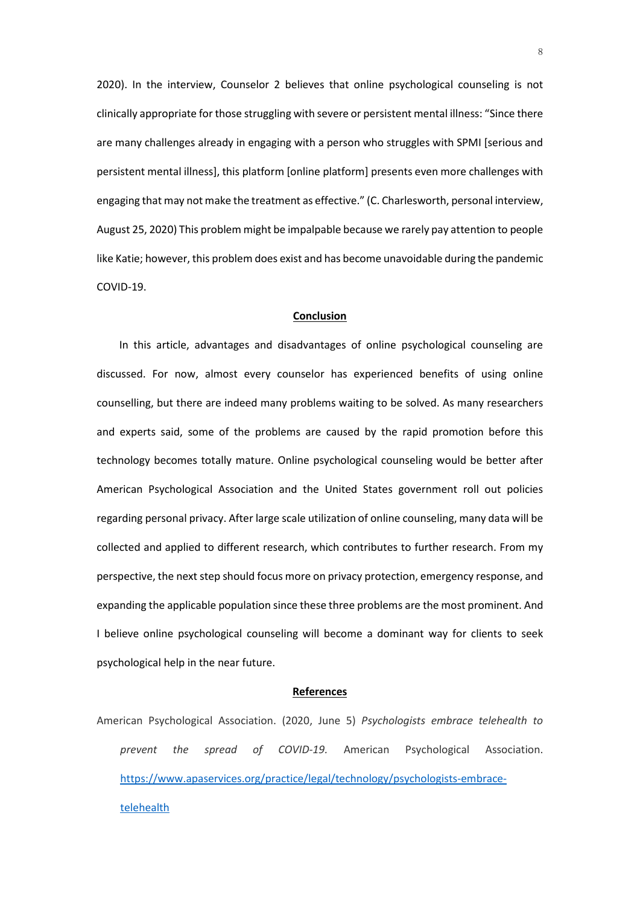2020). In the interview, Counselor 2 believes that online psychological counseling is not clinically appropriate for those struggling with severe or persistent mental illness: "Since there are many challenges already in engaging with a person who struggles with SPMI [serious and persistent mental illness], this platform [online platform] presents even more challenges with engaging that may not make the treatment as effective." (C. Charlesworth, personal interview, August 25, 2020) This problem might be impalpable because we rarely pay attention to people like Katie; however, this problem does exist and has become unavoidable during the pandemic COVID-19.

## **Conclusion**

In this article, advantages and disadvantages of online psychological counseling are discussed. For now, almost every counselor has experienced benefits of using online counselling, but there are indeed many problems waiting to be solved. As many researchers and experts said, some of the problems are caused by the rapid promotion before this technology becomes totally mature. Online psychological counseling would be better after American Psychological Association and the United States government roll out policies regarding personal privacy. After large scale utilization of online counseling, many data will be collected and applied to different research, which contributes to further research. From my perspective, the next step should focus more on privacy protection, emergency response, and expanding the applicable population since these three problems are the most prominent. And I believe online psychological counseling will become a dominant way for clients to seek psychological help in the near future.

### **References**

American Psychological Association. (2020, June 5) *Psychologists embrace telehealth to prevent the spread of COVID-19.* American Psychological Association. [https://www.apaservices.org/practice/legal/technology/psychologists-embrace](https://www.apaservices.org/practice/legal/technology/psychologists-embrace-telehealth)[telehealth](https://www.apaservices.org/practice/legal/technology/psychologists-embrace-telehealth)